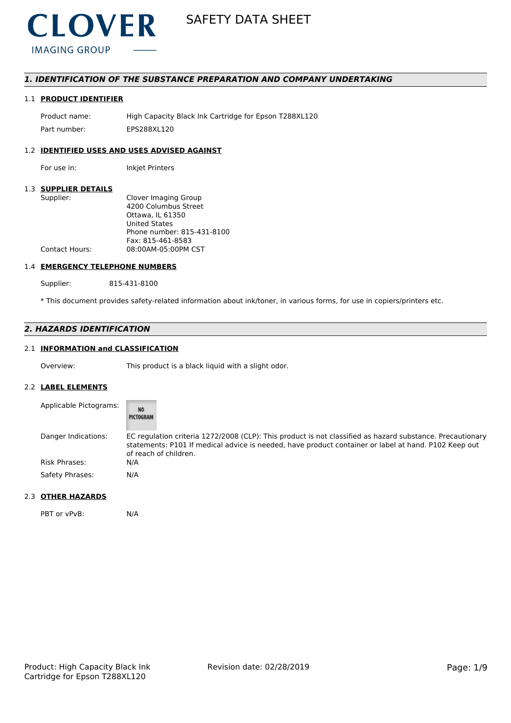

# *1. IDENTIFICATION OF THE SUBSTANCE PREPARATION AND COMPANY UNDERTAKING*

# 1.1 **PRODUCT IDENTIFIER**

Product name: High Capacity Black Ink Cartridge for Epson T288XL120 Part number: EPS288XL120

# 1.2 **IDENTIFIED USES AND USES ADVISED AGAINST**

For use in: Inkjet Printers

#### 1.3 **SUPPLIER DETAILS**

| Supplier:             | Clover Imaging Group       |
|-----------------------|----------------------------|
|                       | 4200 Columbus Street       |
|                       | Ottawa. IL 61350           |
|                       | <b>United States</b>       |
|                       | Phone number: 815-431-8100 |
|                       | Fax: 815-461-8583          |
| <b>Contact Hours:</b> | 08:00AM-05:00PM CST        |
|                       |                            |

#### 1.4 **EMERGENCY TELEPHONE NUMBERS**

Supplier: 815-431-8100

\* This document provides safety-related information about ink/toner, in various forms, for use in copiers/printers etc.

# *2. HAZARDS IDENTIFICATION*

# 2.1 **INFORMATION and CLASSIFICATION**

Overview: This product is a black liquid with a slight odor.

#### 2.2 **LABEL ELEMENTS**

| Applicable Pictograms: | NO<br>PICTOGRAM                                                                                                                                                                                                                            |
|------------------------|--------------------------------------------------------------------------------------------------------------------------------------------------------------------------------------------------------------------------------------------|
| Danger Indications:    | EC regulation criteria 1272/2008 (CLP): This product is not classified as hazard substance. Precautionary<br>statements: P101 If medical advice is needed, have product container or label at hand. P102 Keep out<br>of reach of children. |
| Risk Phrases:          | N/A                                                                                                                                                                                                                                        |
| Safety Phrases:        | N/A                                                                                                                                                                                                                                        |

#### 2.3 **OTHER HAZARDS**

PBT or vPvB: N/A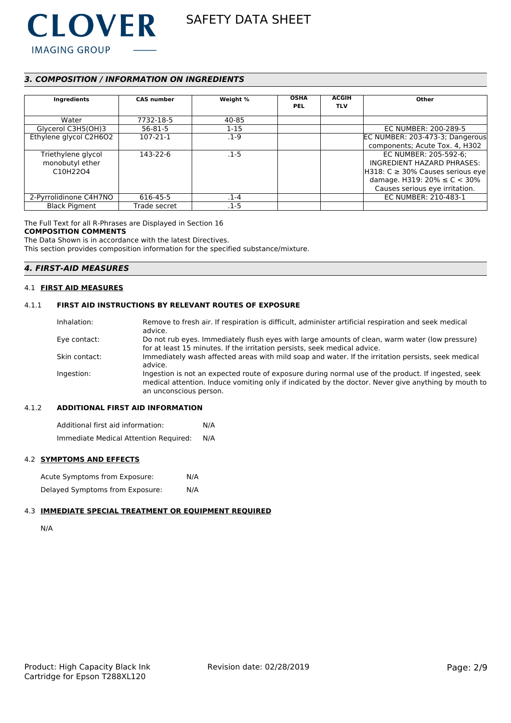

# *3. COMPOSITION / INFORMATION ON INGREDIENTS*

| Ingredients                                    | <b>CAS number</b> | Weight % | <b>OSHA</b><br><b>PEL</b> | <b>ACGIH</b><br><b>TLV</b> | Other                                  |
|------------------------------------------------|-------------------|----------|---------------------------|----------------------------|----------------------------------------|
| Water                                          | 7732-18-5         | 40-85    |                           |                            |                                        |
| Glycerol C3H5(OH)3                             | $56 - 81 - 5$     | $1 - 15$ |                           |                            | EC NUMBER: 200-289-5                   |
| Ethylene glycol C2H6O2                         | 107-21-1          | $.1-9$   |                           |                            | EC NUMBER: 203-473-3; Dangerous        |
|                                                |                   |          |                           |                            | components; Acute Tox. 4, H302         |
| Triethylene glycol                             | 143-22-6          | $.1 - 5$ |                           |                            | EC NUMBER: 205-592-6;                  |
| monobutyl ether                                |                   |          |                           |                            | INGREDIENT HAZARD PHRASES:             |
| C <sub>10</sub> H <sub>22</sub> O <sub>4</sub> |                   |          |                           |                            | $H318: C \geq 30\%$ Causes serious eye |
|                                                |                   |          |                           |                            | damage. H319: $20\% \le C < 30\%$      |
|                                                |                   |          |                           |                            | Causes serious eye irritation.         |
| 2-Pyrrolidinone C4H7NO                         | 616-45-5          | . 1-4    |                           |                            | EC NUMBER: 210-483-1                   |
| <b>Black Pigment</b>                           | Trade secret      | .1-5     |                           |                            |                                        |

The Full Text for all R-Phrases are Displayed in Section 16

#### **COMPOSITION COMMENTS**

The Data Shown is in accordance with the latest Directives.

This section provides composition information for the specified substance/mixture.

# *4. FIRST-AID MEASURES*

### 4.1 **FIRST AID MEASURES**

# 4.1.1 **FIRST AID INSTRUCTIONS BY RELEVANT ROUTES OF EXPOSURE**

| Inhalation:   | Remove to fresh air. If respiration is difficult, administer artificial respiration and seek medical<br>advice.                                                                                                                     |
|---------------|-------------------------------------------------------------------------------------------------------------------------------------------------------------------------------------------------------------------------------------|
| Eye contact:  | Do not rub eyes. Immediately flush eyes with large amounts of clean, warm water (low pressure)<br>for at least 15 minutes. If the irritation persists, seek medical advice.                                                         |
|               |                                                                                                                                                                                                                                     |
| Skin contact: | Immediately wash affected areas with mild soap and water. If the irritation persists, seek medical<br>advice.                                                                                                                       |
| Ingestion:    | Ingestion is not an expected route of exposure during normal use of the product. If ingested, seek<br>medical attention. Induce vomiting only if indicated by the doctor. Never give anything by mouth to<br>an unconscious person. |

# 4.1.2 **ADDITIONAL FIRST AID INFORMATION**

Additional first aid information: N/A Immediate Medical Attention Required: N/A

#### 4.2 **SYMPTOMS AND EFFECTS**

| Acute Symptoms from Exposure:   | N/A |
|---------------------------------|-----|
| Delayed Symptoms from Exposure: | N/A |

# 4.3 **IMMEDIATE SPECIAL TREATMENT OR EQUIPMENT REQUIRED**

```
N/A
```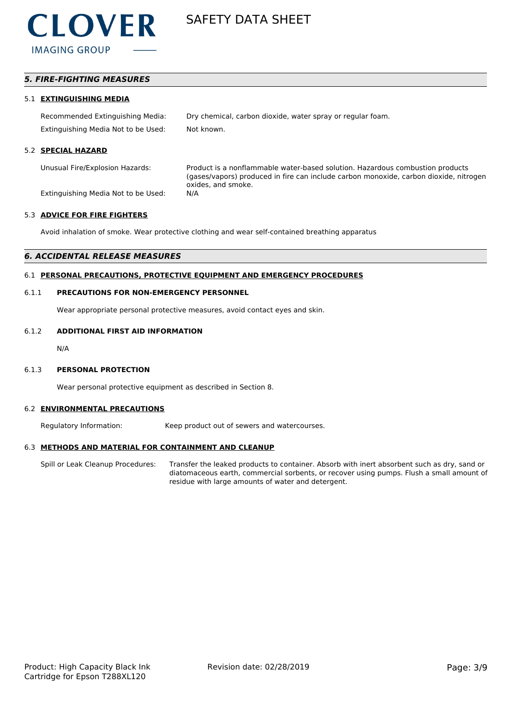

# *5. FIRE-FIGHTING MEASURES*

#### 5.1 **EXTINGUISHING MEDIA**

Recommended Extinguishing Media: Dry chemical, carbon dioxide, water spray or regular foam. Extinguishing Media Not to be Used: Not known.

#### 5.2 **SPECIAL HAZARD**

Unusual Fire/Explosion Hazards: Product is a nonflammable water-based solution. Hazardous combustion products (gases/vapors) produced in fire can include carbon monoxide, carbon dioxide, nitrogen oxides, and smoke.

Extinguishing Media Not to be Used: N/A

#### 5.3 **ADVICE FOR FIRE FIGHTERS**

Avoid inhalation of smoke. Wear protective clothing and wear self-contained breathing apparatus

#### *6. ACCIDENTAL RELEASE MEASURES*

# 6.1 **PERSONAL PRECAUTIONS, PROTECTIVE EQUIPMENT AND EMERGENCY PROCEDURES**

#### 6.1.1 **PRECAUTIONS FOR NON-EMERGENCY PERSONNEL**

Wear appropriate personal protective measures, avoid contact eyes and skin.

# 6.1.2 **ADDITIONAL FIRST AID INFORMATION**

N/A

#### 6.1.3 **PERSONAL PROTECTION**

Wear personal protective equipment as described in Section 8.

#### 6.2 **ENVIRONMENTAL PRECAUTIONS**

Regulatory Information: Keep product out of sewers and watercourses.

#### 6.3 **METHODS AND MATERIAL FOR CONTAINMENT AND CLEANUP**

Spill or Leak Cleanup Procedures: Transfer the leaked products to container. Absorb with inert absorbent such as dry, sand or diatomaceous earth, commercial sorbents, or recover using pumps. Flush a small amount of residue with large amounts of water and detergent.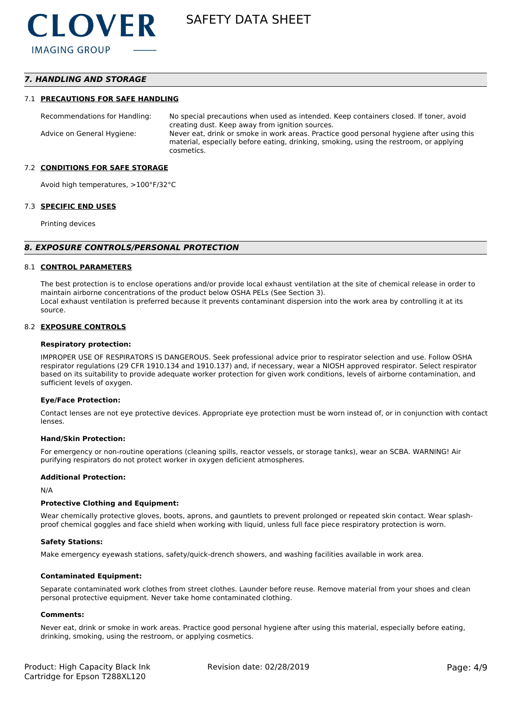# *7. HANDLING AND STORAGE*

#### 7.1 **PRECAUTIONS FOR SAFE HANDLING**

Recommendations for Handling: No special precautions when used as intended. Keep containers closed. If toner, avoid creating dust. Keep away from ignition sources. Advice on General Hygiene: Never eat, drink or smoke in work areas. Practice good personal hygiene after using this material, especially before eating, drinking, smoking, using the restroom, or applying cosmetics.

#### 7.2 **CONDITIONS FOR SAFE STORAGE**

Avoid high temperatures, >100°F/32°C

#### 7.3 **SPECIFIC END USES**

Printing devices

#### *8. EXPOSURE CONTROLS/PERSONAL PROTECTION*

#### 8.1 **CONTROL PARAMETERS**

The best protection is to enclose operations and/or provide local exhaust ventilation at the site of chemical release in order to maintain airborne concentrations of the product below OSHA PELs (See Section 3). Local exhaust ventilation is preferred because it prevents contaminant dispersion into the work area by controlling it at its source.

#### 8.2 **EXPOSURE CONTROLS**

#### **Respiratory protection:**

IMPROPER USE OF RESPIRATORS IS DANGEROUS. Seek professional advice prior to respirator selection and use. Follow OSHA respirator regulations (29 CFR 1910.134 and 1910.137) and, if necessary, wear a NIOSH approved respirator. Select respirator based on its suitability to provide adequate worker protection for given work conditions, levels of airborne contamination, and sufficient levels of oxygen.

#### **Eye/Face Protection:**

Contact lenses are not eye protective devices. Appropriate eye protection must be worn instead of, or in conjunction with contact lenses.

#### **Hand/Skin Protection:**

For emergency or non-routine operations (cleaning spills, reactor vessels, or storage tanks), wear an SCBA. WARNING! Air purifying respirators do not protect worker in oxygen deficient atmospheres.

#### **Additional Protection:**

N/A

#### **Protective Clothing and Equipment:**

Wear chemically protective gloves, boots, aprons, and gauntlets to prevent prolonged or repeated skin contact. Wear splashproof chemical goggles and face shield when working with liquid, unless full face piece respiratory protection is worn.

#### **Safety Stations:**

Make emergency eyewash stations, safety/quick-drench showers, and washing facilities available in work area.

#### **Contaminated Equipment:**

Separate contaminated work clothes from street clothes. Launder before reuse. Remove material from your shoes and clean personal protective equipment. Never take home contaminated clothing.

#### **Comments:**

Never eat, drink or smoke in work areas. Practice good personal hygiene after using this material, especially before eating, drinking, smoking, using the restroom, or applying cosmetics.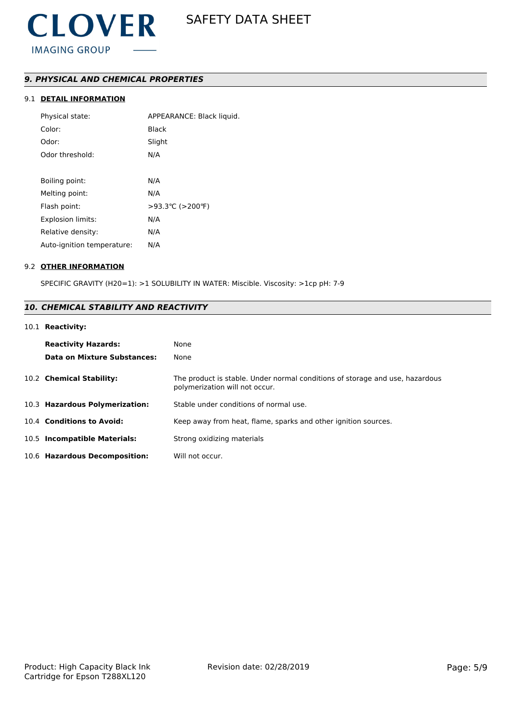# *9. PHYSICAL AND CHEMICAL PROPERTIES*

# 9.1 **DETAIL INFORMATION**

| Physical state:            | APPEARANCE: Black liquid. |
|----------------------------|---------------------------|
| Color:                     | <b>Black</b>              |
| Odor:                      | Slight                    |
| Odor threshold:            | N/A                       |
|                            |                           |
| Boiling point:             | N/A                       |
| Melting point:             | N/A                       |
| Flash point:               | >93.3 °C (>200 °F)        |
| <b>Explosion limits:</b>   | N/A                       |
| Relative density:          | N/A                       |
| Auto-ignition temperature: | N/A                       |

# 9.2 **OTHER INFORMATION**

SPECIFIC GRAVITY (H20=1): >1 SOLUBILITY IN WATER: Miscible. Viscosity: >1cp pH: 7-9

# *10. CHEMICAL STABILITY AND REACTIVITY*

## 10.1 **Reactivity:**

| <b>Reactivity Hazards:</b><br>Data on Mixture Substances: | None<br>None                                                                                                   |
|-----------------------------------------------------------|----------------------------------------------------------------------------------------------------------------|
| 10.2 Chemical Stability:                                  | The product is stable. Under normal conditions of storage and use, hazardous<br>polymerization will not occur. |
| 10.3 Hazardous Polymerization:                            | Stable under conditions of normal use.                                                                         |
| 10.4 Conditions to Avoid:                                 | Keep away from heat, flame, sparks and other ignition sources.                                                 |
| 10.5 Incompatible Materials:                              | Strong oxidizing materials                                                                                     |
| 10.6 Hazardous Decomposition:                             | Will not occur.                                                                                                |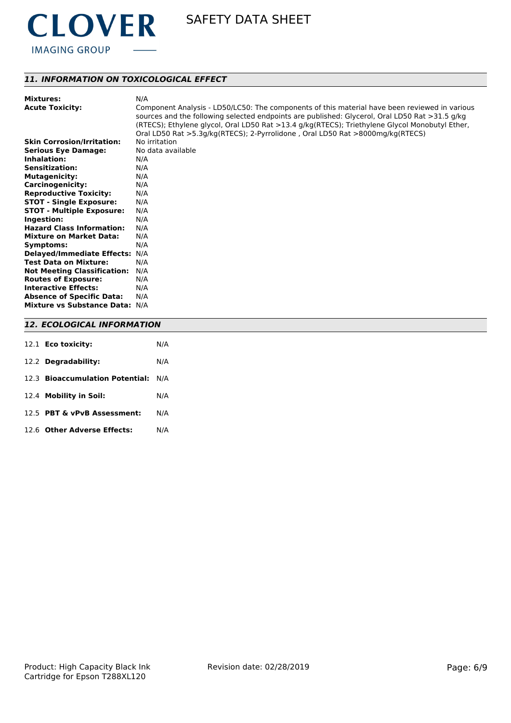

# *11. INFORMATION ON TOXICOLOGICAL EFFECT*

| <b>Mixtures:</b>                   | N/A                                                                                                                                                                                             |
|------------------------------------|-------------------------------------------------------------------------------------------------------------------------------------------------------------------------------------------------|
| <b>Acute Toxicity:</b>             | Component Analysis - LD50/LC50: The components of this material have been reviewed in various<br>sources and the following selected endpoints are published: Glycerol, Oral LD50 Rat >31.5 g/kg |
|                                    | (RTECS); Ethylene glycol, Oral LD50 Rat >13.4 g/kg(RTECS); Triethylene Glycol Monobutyl Ether,<br>Oral LD50 Rat >5.3g/kg(RTECS); 2-Pyrrolidone, Oral LD50 Rat >8000mg/kg(RTECS)                 |
| <b>Skin Corrosion/Irritation:</b>  | No irritation                                                                                                                                                                                   |
| <b>Serious Eye Damage:</b>         | No data available                                                                                                                                                                               |
| Inhalation:                        | N/A                                                                                                                                                                                             |
| <b>Sensitization:</b>              | N/A                                                                                                                                                                                             |
|                                    |                                                                                                                                                                                                 |
| <b>Mutagenicity:</b>               | N/A                                                                                                                                                                                             |
| <b>Carcinogenicity:</b>            | N/A                                                                                                                                                                                             |
| <b>Reproductive Toxicity:</b>      | N/A                                                                                                                                                                                             |
| <b>STOT - Single Exposure:</b>     | N/A                                                                                                                                                                                             |
| <b>STOT - Multiple Exposure:</b>   | N/A                                                                                                                                                                                             |
| Ingestion:                         | N/A                                                                                                                                                                                             |
| <b>Hazard Class Information:</b>   | N/A                                                                                                                                                                                             |
| <b>Mixture on Market Data:</b>     | N/A                                                                                                                                                                                             |
| Symptoms:                          | N/A                                                                                                                                                                                             |
| Delayed/Immediate Effects: N/A     |                                                                                                                                                                                                 |
| <b>Test Data on Mixture:</b>       | N/A                                                                                                                                                                                             |
| <b>Not Meeting Classification:</b> | N/A                                                                                                                                                                                             |
| <b>Routes of Exposure:</b>         | N/A                                                                                                                                                                                             |
| <b>Interactive Effects:</b>        | N/A                                                                                                                                                                                             |
| <b>Absence of Specific Data:</b>   | N/A                                                                                                                                                                                             |
| Mixture vs Substance Data: N/A     |                                                                                                                                                                                                 |
| <b>12. ECOLOGICAL INFORMATION</b>  |                                                                                                                                                                                                 |

| 12.1 Eco toxicity:                  | N/A |
|-------------------------------------|-----|
| 12.2 Degradability:                 | N/A |
| 12.3 Bioaccumulation Potential: N/A |     |
| 12.4 Mobility in Soil:              | N/A |
| 12.5 PBT & vPvB Assessment:         | N/A |
| 12.6 Other Adverse Effects:         | N/A |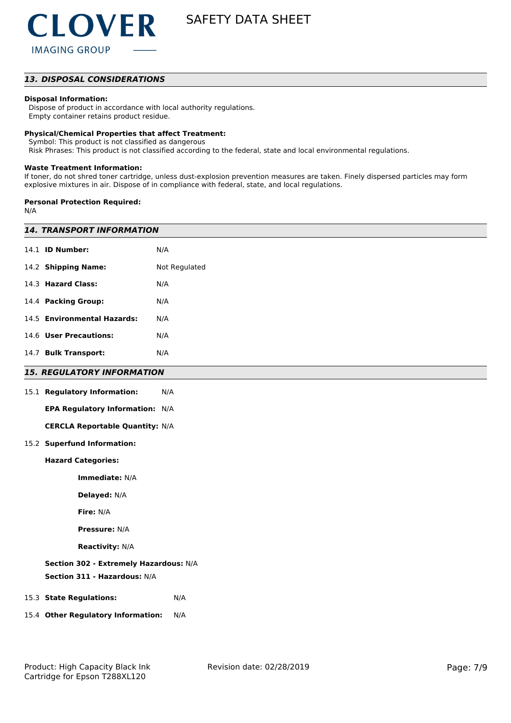# *13. DISPOSAL CONSIDERATIONS*

### **Disposal Information:**

 Dispose of product in accordance with local authority regulations. Empty container retains product residue.

#### **Physical/Chemical Properties that affect Treatment:**

Symbol: This product is not classified as dangerous

Risk Phrases: This product is not classified according to the federal, state and local environmental regulations.

#### **Waste Treatment Information:**

If toner, do not shred toner cartridge, unless dust-explosion prevention measures are taken. Finely dispersed particles may form explosive mixtures in air. Dispose of in compliance with federal, state, and local regulations.

#### **Personal Protection Required:**

N/A

| <b>14. TRANSPORT INFORMATION</b>       |               |  |
|----------------------------------------|---------------|--|
| 14.1 <b>ID Number:</b>                 | N/A           |  |
| 14.2 Shipping Name:                    | Not Regulated |  |
| 14.3 Hazard Class:                     | N/A           |  |
| 14.4 Packing Group:                    | N/A           |  |
| 14.5 Environmental Hazards:            | N/A           |  |
| 14.6 User Precautions:                 | N/A           |  |
| 14.7 Bulk Transport:                   | N/A           |  |
| <b>15. REGULATORY INFORMATION</b>      |               |  |
| 15.1 Regulatory Information:           | N/A           |  |
| EPA Regulatory Information: N/A        |               |  |
| <b>CERCLA Reportable Quantity: N/A</b> |               |  |
| 15.2 Superfund Information:            |               |  |
| <b>Hazard Categories:</b>              |               |  |
| Immediate: N/A                         |               |  |
| Delayed: N/A                           |               |  |
| Fire: N/A                              |               |  |
| Pressure: N/A                          |               |  |
| <b>Reactivity: N/A</b>                 |               |  |
| Section 302 - Extremely Hazardous: N/A |               |  |
| Section 311 - Hazardous: N/A           |               |  |
| 15.3 State Regulations:                | N/A           |  |
| 15.4 Other Regulatory Information:     | N/A           |  |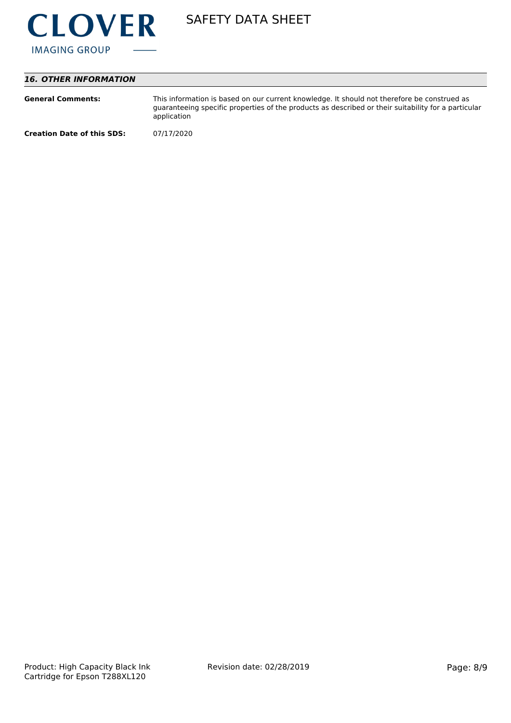

# *16. OTHER INFORMATION*

| <b>General Comments:</b>          | This information is based on our current knowledge. It should not therefore be construed as<br>guaranteeing specific properties of the products as described or their suitability for a particular<br>application |
|-----------------------------------|-------------------------------------------------------------------------------------------------------------------------------------------------------------------------------------------------------------------|
| <b>Creation Date of this SDS:</b> | 07/17/2020                                                                                                                                                                                                        |